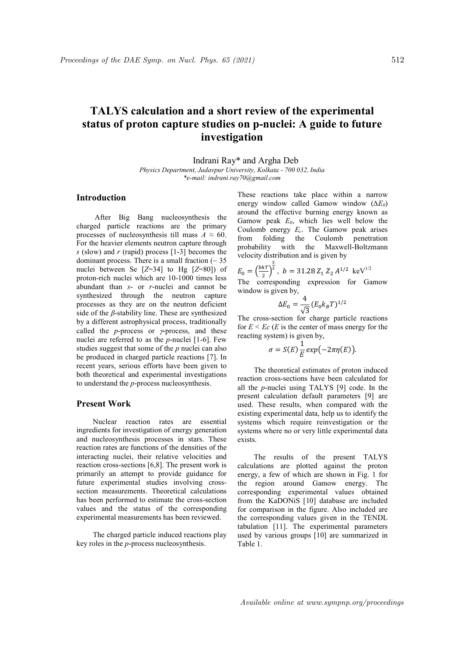# TALYS calculation and a short review of the experimental status of proton capture studies on p-nuclei: A guide to future investigation

Indrani Ray\* and Argha Deb

Physics Department, Jadavpur University, Kolkata - 700 032, India \*e-mail: indrani.ray70@gmail.com

### Introduction

 After Big Bang nucleosynthesis the charged particle reactions are the primary processes of nucleosynthesis till mass  $A \approx 60$ . For the heavier elements neutron capture through s (slow) and r (rapid) process  $[1-3]$  becomes the dominant process. There is a small fraction  $($   $\sim$  35 nuclei between Se  $[Z=34]$  to Hg  $[Z=80]$  of proton-rich nuclei which are 10-1000 times less abundant than  $s$ - or  $r$ -nuclei and cannot be synthesized through the neutron capture processes as they are on the neutron deficient side of the  $\beta$ -stability line. These are synthesized by a different astrophysical process, traditionally called the  $p$ -process or  $\gamma$ -process, and these nuclei are referred to as the  $p$ -nuclei [1-6]. Few studies suggest that some of the  $p$  nuclei can also be produced in charged particle reactions [7]. In recent years, serious efforts have been given to both theoretical and experimental investigations to understand the p-process nucleosynthesis.

#### Present Work

Nuclear reaction rates are essential ingredients for investigation of energy generation and nucleosynthesis processes in stars. These reaction rates are functions of the densities of the interacting nuclei, their relative velocities and reaction cross-sections [6,8]. The present work is primarily an attempt to provide guidance for future experimental studies involving crosssection measurements. Theoretical calculations has been performed to estimate the cross-section values and the status of the corresponding experimental measurements has been reviewed.

The charged particle induced reactions play key roles in the p-process nucleosynthesis.

These reactions take place within a narrow energy window called Gamow window  $(\Delta E_0)$ around the effective burning energy known as Gamow peak  $E_0$ , which lies well below the Coulomb energy  $E_c$ . The Gamow peak arises from folding the Coulomb penetration probability with the Maxwell-Boltzmann velocity distribution and is given by

$$
E_0 = \left(\frac{bkT}{2}\right)^{\frac{3}{2}}, \quad b = 31.28 Z_1 Z_2 A^{1/2} \text{ keV}^{1/2}
$$

The corresponding expression for Gamow window is given by,

$$
\Delta E_0 = \frac{4}{\sqrt{3}} (E_0 k_B T)^{1/2}
$$

The cross-section for charge particle reactions for  $E \leq Ec$  (*E* is the center of mass energy for the reacting system) is given by,

$$
\sigma = S(E) \frac{1}{E} exp(-2\pi \eta(E)).
$$

The theoretical estimates of proton induced reaction cross-sections have been calculated for all the p-nuclei using TALYS [9] code. In the present calculation default parameters [9] are used. These results, when compared with the existing experimental data, help us to identify the systems which require reinvestigation or the systems where no or very little experimental data exists.

The results of the present TALYS calculations are plotted against the proton energy, a few of which are shown in Fig. 1 for the region around Gamow energy. The corresponding experimental values obtained from the KaDONiS [10] database are included for comparison in the figure. Also included are the corresponding values given in the TENDL tabulation [11]. The experimental parameters used by various groups [10] are summarized in Table 1.